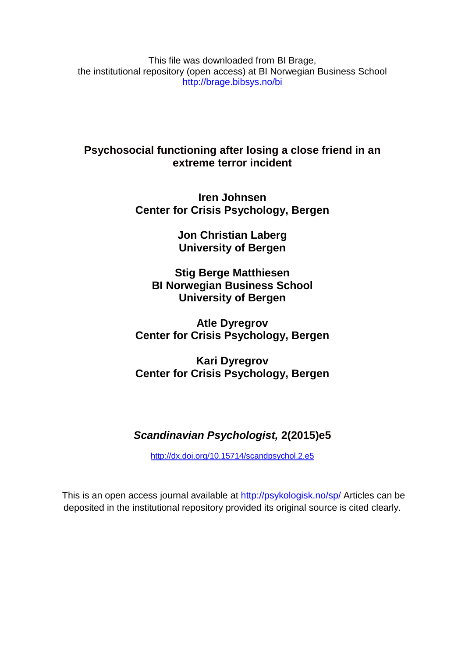This file was downloaded from BI Brage, the institutional repository (open access) at BI Norwegian Business School http://brage.bibsys.no/bi

**Psychosocial functioning after losing a close friend in an extreme terror incident**

> **Iren Johnsen Center for Crisis Psychology, Bergen**

> > **Jon Christian Laberg University of Bergen**

**Stig Berge Matthiesen BI Norwegian Business School University of Bergen**

**Atle Dyregrov Center for Crisis Psychology, Bergen**

**Kari Dyregrov Center for Crisis Psychology, Bergen**

# *Scandinavian Psychologist,* **2(2015)e5**

<http://dx.doi.org/10.15714/scandpsychol.2.e5>

This is an open access journal available at <http://psykologisk.no/sp/> Articles can be deposited in the institutional repository provided its original source is cited clearly.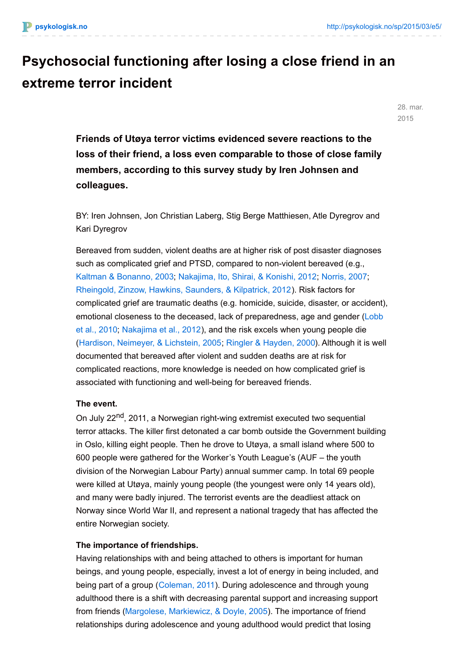# **Psychosocial functioning after losing a close friend in an extreme terror incident**

28. mar. 2015

**Friends of Utøya terror victims evidenced severe reactions to the loss of their friend, a loss even comparable to those of close family members, according to this survey study by Iren Johnsen and colleagues.**

BY: Iren Johnsen, Jon Christian Laberg, Stig Berge Matthiesen, Atle Dyregrov and Kari Dyregrov

Bereaved from sudden, violent deaths are at higher risk of post disaster diagnoses such as complicated grief and PTSD, compared to non-violent bereaved (e.g., Kaltman & [Bonanno,](#page-12-0) 2003; [Nakajima,](#page-14-0) Ito, Shirai, & Konishi, 2012; [Norris,](#page-14-1) 2007; [Rheingold,](#page-14-2) Zinzow, Hawkins, Saunders, & Kilpatrick, 2012). Risk factors for complicated grief are traumatic deaths (e.g. homicide, suicide, disaster, or accident), emotional closeness to the deceased, lack of [preparedness,](#page-13-0) age and gender (Lobb et al., 2010; [Nakajima](#page-14-0) et al., 2012), and the risk excels when young people die (Hardison, [Neimeyer,](#page-12-1) & Lichstein, 2005; Ringler & [Hayden,](#page-15-0) 2000). Although it is well documented that bereaved after violent and sudden deaths are at risk for complicated reactions, more knowledge is needed on how complicated grief is associated with functioning and well-being for bereaved friends.

#### **The event.**

On July 22<sup>nd</sup>, 2011, a Norwegian right-wing extremist executed two sequential terror attacks. The killer first detonated a car bomb outside the Government building in Oslo, killing eight people. Then he drove to Utøya, a small island where 500 to 600 people were gathered for the Worker's Youth League's (AUF – the youth division of the Norwegian Labour Party) annual summer camp. In total 69 people were killed at Utøya, mainly young people (the youngest were only 14 years old), and many were badly injured. The terrorist events are the deadliest attack on Norway since World War II, and represent a national tragedy that has affected the entire Norwegian society.

#### **The importance of friendships.**

Having relationships with and being attached to others is important for human beings, and young people, especially, invest a lot of energy in being included, and being part of a group [\(Coleman,](#page-11-0) 2011). During adolescence and through young adulthood there is a shift with decreasing parental support and increasing support from friends (Margolese, [Markiewicz,](#page-13-1) & Doyle, 2005). The importance of friend relationships during adolescence and young adulthood would predict that losing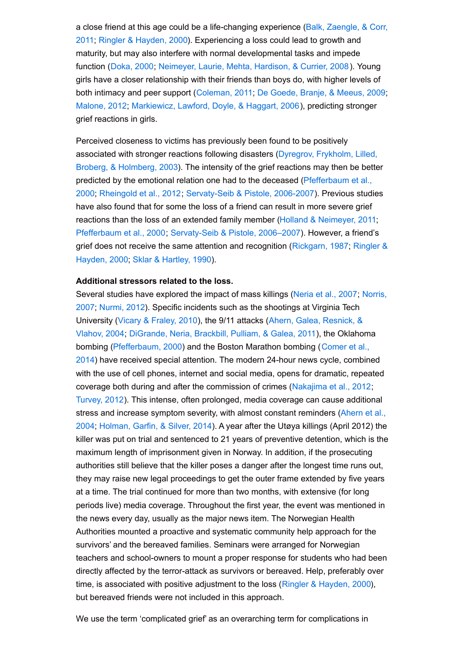a close friend at this age could be a [life-changing](#page-11-1) experience (Balk, Zaengle, & Corr, 2011; Ringler & [Hayden,](#page-15-0) 2000). Experiencing a loss could lead to growth and maturity, but may also interfere with normal developmental tasks and impede function ([Doka,](#page-11-2) 2000; [Neimeyer,](#page-14-3) Laurie, Mehta, Hardison, & Currier, 2008). Young girls have a closer relationship with their friends than boys do, with higher levels of both intimacy and peer support [\(Coleman,](#page-11-0) 2011; De Goede, Branje, & [Meeus,](#page-11-3) 2009; [Malone,](#page-13-2) 2012; [Markiewicz,](#page-13-3) Lawford, Doyle, & Haggart, 2006), predicting stronger grief reactions in girls.

Perceived closeness to victims has previously been found to be positively [associated](#page-11-4) with stronger reactions following disasters (Dyregrov, Frykholm, Lilled, Broberg, & Holmberg, 2003). The intensity of the grief reactions may then be better predicted by the emotional relation one had to the deceased [\(Pfefferbaum](#page-14-4) et al., 2000; [Rheingold](#page-14-2) et al., 2012; [Servaty-Seib](#page-15-1) & Pistole, 2006-2007). Previous studies have also found that for some the loss of a friend can result in more severe grief reactions than the loss of an extended family member (Holland & [Neimeyer,](#page-12-2) 2011; [Pfefferbaum](#page-14-4) et al., 2000; [Servaty-Seib](#page-15-1) & Pistole, 2006–2007). However, a friend's grief does not receive the same attention and [recognition](#page-15-0) [\(Rickgarn,](#page-14-5) 1987; Ringler & Hayden, 2000; Sklar & [Hartley,](#page-15-2) 1990).

#### **Additional stressors related to the loss.**

Several studies have explored the impact of mass killings [\(Neria](#page-14-6) et al., 2007; Norris, 2007; [Nurmi,](#page-14-7) 2012). Specific incidents such as the [shootings](#page-14-1) at Virginia Tech [University](#page-11-5) (Vicary & [Fraley,](#page-15-3) 2010), the 9/11 attacks (Ahern, Galea, Resnick, & Vlahov, 2004; [DiGrande,](#page-11-6) Neria, Brackbill, Pulliam, & Galea, 2011), the Oklahoma bombing [\(Pfefferbaum,](#page-11-7) 2000) and the Boston Marathon bombing (Comer et al., 2014) have received special attention. The modern 24-hour news cycle, combined with the use of cell phones, internet and social media, opens for dramatic, repeated coverage both during and after the commission of crimes [\(Nakajima](#page-14-0) et al., 2012; [Turvey,](#page-15-4) 2012). This intense, often prolonged, media coverage can cause additional stress and increase symptom severity, with almost constant [reminders](#page-11-8) (Ahern et al., 2004; [Holman,](#page-12-3) Garfin, & Silver, 2014). A year after the Utøya killings (April 2012) the killer was put on trial and sentenced to 21 years of preventive detention, which is the maximum length of imprisonment given in Norway. In addition, if the prosecuting authorities still believe that the killer poses a danger after the longest time runs out, they may raise new legal proceedings to get the outer frame extended by five years at a time. The trial continued for more than two months, with extensive (for long periods live) media coverage. Throughout the first year, the event was mentioned in the news every day, usually as the major news item. The Norwegian Health Authorities mounted a proactive and systematic community help approach for the survivors' and the bereaved families. Seminars were arranged for Norwegian teachers and school-owners to mount a proper response for students who had been directly affected by the terror-attack as survivors or bereaved. Help, preferably over time, is associated with positive adjustment to the loss (Ringler & [Hayden,](#page-14-6) 2000), but bereaved friends were not included in this approach.

We use the term 'complicated grief' as an overarching term for complications in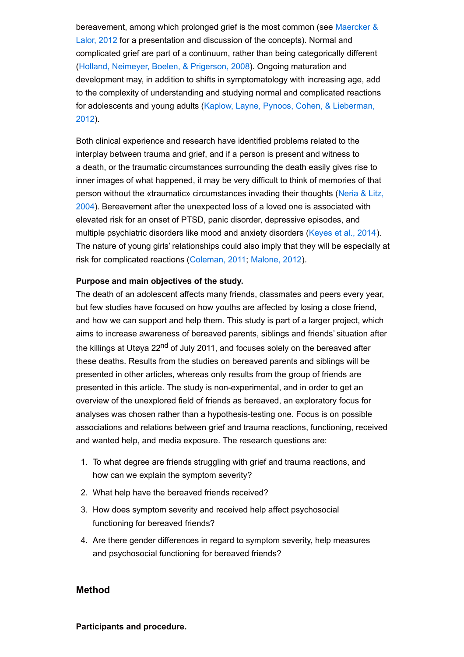[bereavement,](#page-13-4) among which prolonged grief is the most common (see Maercker & Lalor, 2012 for a presentation and discussion of the concepts). Normal and complicated grief are part of a continuum, rather than being categorically different (Holland, Neimeyer, Boelen, & [Prigerson,](#page-12-4) 2008). Ongoing maturation and development may, in addition to shifts in symptomatology with increasing age, add to the complexity of understanding and studying normal and complicated reactions for [adolescents](#page-13-5) and young adults (Kaplow, Layne, Pynoos, Cohen, & Lieberman, 2012).

Both clinical experience and research have identified problems related to the interplay between trauma and grief, and if a person is present and witness to a death, or the traumatic circumstances surrounding the death easily gives rise to inner images of what happened, it may be very difficult to think of memories of that person without the «traumatic» [circumstances](#page-14-8) invading their thoughts (Neria & Litz, 2004). Bereavement after the unexpected loss of a loved one is associated with elevated risk for an onset of PTSD, panic disorder, depressive episodes, and multiple psychiatric disorders like mood and anxiety disorders ([Keyes](#page-13-6) et al., 2014). The nature of young girls' relationships could also imply that they will be especially at risk for complicated reactions [\(Coleman,](#page-11-0) 2011; [Malone,](#page-13-2) 2012).

### **Purpose and main objectives of the study.**

The death of an adolescent affects many friends, classmates and peers every year, but few studies have focused on how youths are affected by losing a close friend, and how we can support and help them. This study is part of a larger project, which aims to increase awareness of bereaved parents, siblings and friends' situation after the killings at Utøya 22<sup>nd</sup> of July 2011, and focuses solely on the bereaved after these deaths. Results from the studies on bereaved parents and siblings will be presented in other articles, whereas only results from the group of friends are presented in this article. The study is non-experimental, and in order to get an overview of the unexplored field of friends as bereaved, an exploratory focus for analyses was chosen rather than a hypothesis-testing one. Focus is on possible associations and relations between grief and trauma reactions, functioning, received and wanted help, and media exposure. The research questions are:

- 1. To what degree are friends struggling with grief and trauma reactions, and how can we explain the symptom severity?
- 2. What help have the bereaved friends received?
- 3. How does symptom severity and received help affect psychosocial functioning for bereaved friends?
- 4. Are there gender differences in regard to symptom severity, help measures and psychosocial functioning for bereaved friends?

#### **Method**

**Participants and procedure.**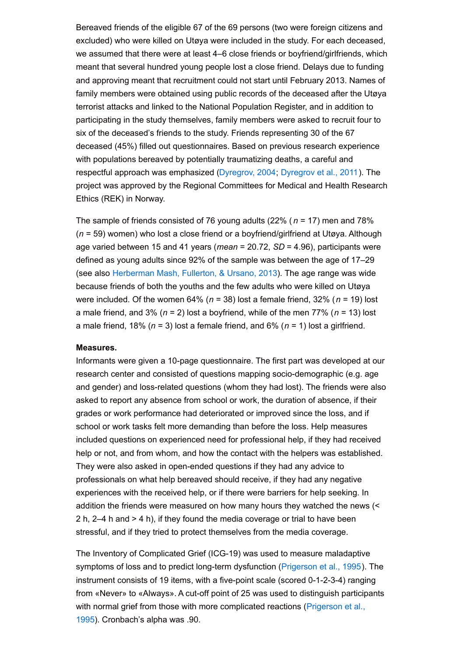Bereaved friends of the eligible 67 of the 69 persons (two were foreign citizens and excluded) who were killed on Utøya were included in the study. For each deceased, we assumed that there were at least 4–6 close friends or boyfriend/girlfriends, which meant that several hundred young people lost a close friend. Delays due to funding and approving meant that recruitment could not start until February 2013. Names of family members were obtained using public records of the deceased after the Utøya terrorist attacks and linked to the National Population Register, and in addition to participating in the study themselves, family members were asked to recruit four to six of the deceased's friends to the study. Friends representing 30 of the 67 deceased (45%) filled out questionnaires. Based on previous research experience with populations bereaved by potentially traumatizing deaths, a careful and respectful approach was emphasized [\(Dyregrov,](#page-11-9) 2004; [Dyregrov](#page-12-5) et al., 2011). The project was approved by the Regional Committees for Medical and Health Research Ethics (REK) in Norway.

The sample of friends consisted of 76 young adults (22% ( *n* = 17) men and 78% (*n* = 59) women) who lost a close friend or a boyfriend/girlfriend at Utøya. Although age varied between 15 and 41 years (*mean* = 20.72, *SD* = 4.96), participants were defined as young adults since 92% of the sample was between the age of 17–29 (see also [Herberman](#page-12-6) Mash, Fullerton, & Ursano, 2013). The age range was wide because friends of both the youths and the few adults who were killed on Utøya were included. Of the women 64% (*n* = 38) lost a female friend, 32% (*n* = 19) lost a male friend, and 3% (*n* = 2) lost a boyfriend, while of the men 77% (*n* = 13) lost a male friend, 18% (*n* = 3) lost a female friend, and 6% (*n* = 1) lost a girlfriend.

#### **Measures.**

Informants were given a 10-page questionnaire. The first part was developed at our research center and consisted of questions mapping socio-demographic (e.g. age and gender) and loss-related questions (whom they had lost). The friends were also asked to report any absence from school or work, the duration of absence, if their grades or work performance had deteriorated or improved since the loss, and if school or work tasks felt more demanding than before the loss. Help measures included questions on experienced need for professional help, if they had received help or not, and from whom, and how the contact with the helpers was established. They were also asked in open-ended questions if they had any advice to professionals on what help bereaved should receive, if they had any negative experiences with the received help, or if there were barriers for help seeking. In addition the friends were measured on how many hours they watched the news (< 2 h, 2–4 h and > 4 h), if they found the media coverage or trial to have been stressful, and if they tried to protect themselves from the media coverage.

The Inventory of Complicated Grief (ICG-19) was used to measure maladaptive symptoms of loss and to predict long-term dysfunction [\(Prigerson](#page-14-9) et al., 1995). The instrument consists of 19 items, with a five-point scale (scored 0-1-2-3-4) ranging from «Never» to «Always». A cut-off point of 25 was used to distinguish participants with normal grief from those with more [complicated](#page-14-9) reactions (Prigerson et al., 1995). Cronbach's alpha was .90.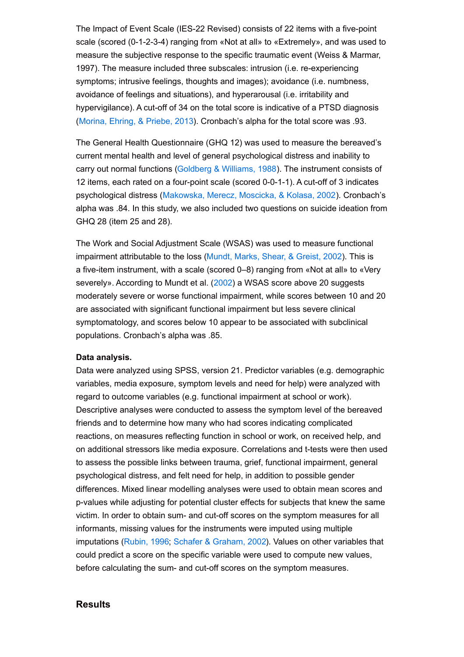The Impact of Event Scale (IES-22 Revised) consists of 22 items with a five-point scale (scored (0-1-2-3-4) ranging from «Not at all» to «Extremely», and was used to measure the subjective response to the specific traumatic event (Weiss & Marmar, 1997). The measure included three subscales: intrusion (i.e. re-experiencing symptoms; intrusive feelings, thoughts and images); avoidance (i.e. numbness, avoidance of feelings and situations), and hyperarousal (i.e. irritability and hypervigilance). A cut-off of 34 on the total score is indicative of a PTSD diagnosis ([Morina,](#page-13-7) Ehring, & Priebe, 2013). Cronbach's alpha for the total score was .93.

The General Health Questionnaire (GHQ 12) was used to measure the bereaved's current mental health and level of general psychological distress and inability to carry out normal functions [\(Goldberg](#page-12-7) & Williams, 1988). The instrument consists of 12 items, each rated on a four-point scale (scored 0-0-1-1). A cut-off of 3 indicates psychological distress ([Makowska,](#page-13-8) Merecz, Moscicka, & Kolasa, 2002). Cronbach's alpha was .84. In this study, we also included two questions on suicide ideation from GHQ 28 (item 25 and 28).

The Work and Social Adjustment Scale (WSAS) was used to measure functional impairment attributable to the loss [\(Mundt,](#page-14-10) Marks, Shear, & Greist, 2002). This is a five-item instrument, with a scale (scored 0–8) ranging from «Not at all» to «Very severely». According to Mundt et al. ([2002](#page-14-10)) a WSAS score above 20 suggests moderately severe or worse functional impairment, while scores between 10 and 20 are associated with significant functional impairment but less severe clinical symptomatology, and scores below 10 appear to be associated with subclinical populations. Cronbach's alpha was .85.

#### **Data analysis.**

Data were analyzed using SPSS, version 21. Predictor variables (e.g. demographic variables, media exposure, symptom levels and need for help) were analyzed with regard to outcome variables (e.g. functional impairment at school or work). Descriptive analyses were conducted to assess the symptom level of the bereaved friends and to determine how many who had scores indicating complicated reactions, on measures reflecting function in school or work, on received help, and on additional stressors like media exposure. Correlations and t-tests were then used to assess the possible links between trauma, grief, functional impairment, general psychological distress, and felt need for help, in addition to possible gender differences. Mixed linear modelling analyses were used to obtain mean scores and p-values while adjusting for potential cluster effects for subjects that knew the same victim. In order to obtain sum- and cut-off scores on the symptom measures for all informants, missing values for the instruments were imputed using multiple imputations ([Rubin,](#page-15-5) 1996; Schafer & [Graham,](#page-15-6) 2002). Values on other variables that could predict a score on the specific variable were used to compute new values, before calculating the sum- and cut-off scores on the symptom measures.

#### **Results**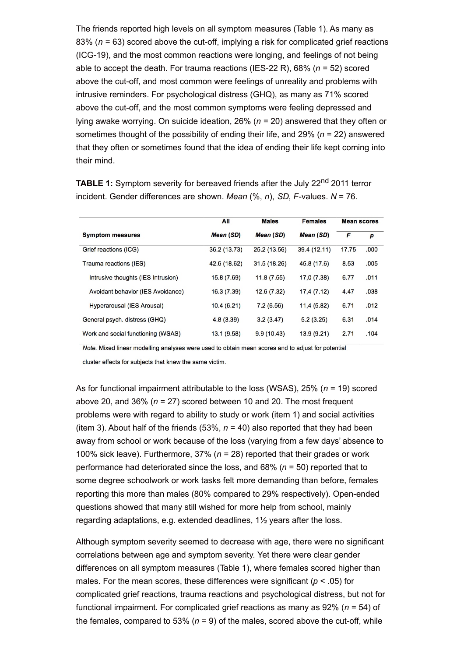The friends reported high levels on all symptom measures (Table 1). As many as 83% (*n* = 63) scored above the cut-off, implying a risk for complicated grief reactions (ICG-19), and the most common reactions were longing, and feelings of not being able to accept the death. For trauma reactions (IES-22 R), 68% (*n* = 52) scored above the cut-off, and most common were feelings of unreality and problems with intrusive reminders. For psychological distress (GHQ), as many as 71% scored above the cut-off, and the most common symptoms were feeling depressed and lying awake worrying. On suicide ideation, 26% (*n* = 20) answered that they often or sometimes thought of the possibility of ending their life, and 29% (*n* = 22) answered that they often or sometimes found that the idea of ending their life kept coming into their mind.

|                                    | All          | <b>Males</b>     | <b>Females</b> | <b>Mean scores</b> |      |
|------------------------------------|--------------|------------------|----------------|--------------------|------|
| <b>Symptom measures</b>            | Mean (SD)    | <b>Mean (SD)</b> | Mean (SD)      | F                  | p    |
| Grief reactions (ICG)              | 36.2 (13.73) | 25.2 (13.56)     | 39.4 (12.11)   | 17.75              | .000 |
| Trauma reactions (IES)             | 42.6 (18.62) | 31.5 (18.26)     | 45.8 (17.6)    | 8.53               | .005 |
| Intrusive thoughts (IES Intrusion) | 15.8(7.69)   | 11.8(7.55)       | 17,0 (7.38)    | 6.77               | .011 |
| Avoidant behavior (IES Avoidance)  | 16.3(7.39)   | 12.6(7.32)       | 17,4(7.12)     | 4.47               | .038 |
| Hyperarousal (IES Arousal)         | 10.4(6.21)   | 7.2(6.56)        | 11,4 (5.82)    | 6.71               | .012 |
| General psych. distress (GHQ)      | 4.8(3.39)    | 3.2(3.47)        | 5.2(3.25)      | 6.31               | .014 |
| Work and social functioning (WSAS) | 13.1 (9.58)  | 9.9(10.43)       | 13.9 (9.21)    | 2.71               | .104 |

**TABLE 1:** Symptom severity for bereaved friends after the July 22<sup>nd</sup> 2011 terror incident. Gender differences are shown. *Mean* (%, *n*), *SD*, *F*-values. *N* = 76.

Note. Mixed linear modelling analyses were used to obtain mean scores and to adjust for potential

cluster effects for subjects that knew the same victim.

As for functional impairment attributable to the loss (WSAS), 25% (*n* = 19) scored above 20, and 36% (*n* = 27) scored between 10 and 20. The most frequent problems were with regard to ability to study or work (item 1) and social activities (item 3). About half of the friends  $(53\%, n = 40)$  also reported that they had been away from school or work because of the loss (varying from a few days' absence to 100% sick leave). Furthermore, 37% (*n* = 28) reported that their grades or work performance had deteriorated since the loss, and 68% (*n* = 50) reported that to some degree schoolwork or work tasks felt more demanding than before, females reporting this more than males (80% compared to 29% respectively). Open-ended questions showed that many still wished for more help from school, mainly regarding adaptations, e.g. extended deadlines, 1½ years after the loss.

Although symptom severity seemed to decrease with age, there were no significant correlations between age and symptom severity. Yet there were clear gender differences on all symptom measures (Table 1), where females scored higher than males. For the mean scores, these differences were significant (*p* < .05) for complicated grief reactions, trauma reactions and psychological distress, but not for functional impairment. For complicated grief reactions as many as 92% (*n* = 54) of the females, compared to 53% ( $n = 9$ ) of the males, scored above the cut-off, while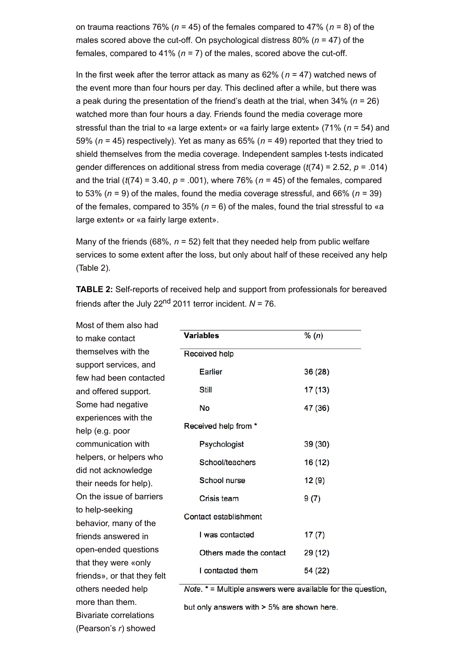on trauma reactions 76% (*n* = 45) of the females compared to 47% (*n* = 8) of the males scored above the cut-off. On psychological distress 80% (*n* = 47) of the females, compared to 41% ( $n = 7$ ) of the males, scored above the cut-off.

In the first week after the terror attack as many as 62% (*n* = 47) watched news of the event more than four hours per day. This declined after a while, but there was a peak during the presentation of the friend's death at the trial, when 34% (*n* = 26) watched more than four hours a day. Friends found the media coverage more stressful than the trial to «a large extent» or «a fairly large extent» (71% (*n* = 54) and 59% (*n* = 45) respectively). Yet as many as 65% (*n* = 49) reported that they tried to shield themselves from the media coverage. Independent samples t-tests indicated gender differences on additional stress from media coverage (*t*(74) = 2.52, *p* = .014) and the trial (*t*(74) = 3.40, *p* = .001), where 76% (*n* = 45) of the females, compared to 53% (*n* = 9) of the males, found the media coverage stressful, and 66% (*n* = 39) of the females, compared to 35% ( $n = 6$ ) of the males, found the trial stressful to «a large extent» or «a fairly large extent».

Many of the friends (68%, *n* = 52) felt that they needed help from public welfare services to some extent after the loss, but only about half of these received any help (Table 2).

**TABLE 2:** Self-reports of received help and support from professionals for bereaved friends after the July 22<sup>nd</sup> 2011 terror incident. *N* = 76.

Most of them also had to make contact themselves with the support services, and few had been contacted and offered support. Some had negative experiences with the help (e.g. poor communication with helpers, or helpers who did not acknowledge their needs for help). On the issue of barriers to help-seeking behavior, many of the friends answered in open-ended questions that they were «only friends», or that they felt others needed help more than them. Bivariate correlations (Pearson's *r*) showed

| <b>Variables</b>        | % (n)   |
|-------------------------|---------|
| Received help           |         |
| Earlier                 | 36(28)  |
| Still                   | 17 (13) |
| No                      | 47 (36) |
| Received help from *    |         |
| Psychologist            | 39 (30) |
| School/teachers         | 16 (12) |
| School nurse            | 12(9)   |
| Crisis team             | 9(7)    |
| Contact establishment   |         |
| I was contacted         | 17(7)   |
| Others made the contact | 29 (12) |
| I contacted them        | 54 (22) |
|                         |         |

*Note.*  $* =$  Multiple answers were available for the question,

but only answers with > 5% are shown here.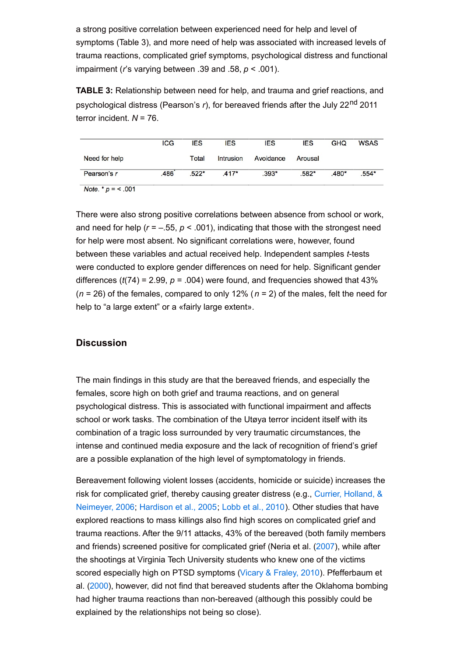a strong positive correlation between experienced need for help and level of symptoms (Table 3), and more need of help was associated with increased levels of trauma reactions, complicated grief symptoms, psychological distress and functional impairment (*r*'s varying between .39 and .58, *p* < .001).

**TABLE 3:** Relationship between need for help, and trauma and grief reactions, and psychological distress (Pearson's *r*), for bereaved friends after the July 22<sup>nd</sup> 2011 terror incident. *N* = 76.

|               | <b>ICG</b> | <b>IES</b> | <b>IES</b> | <b>IES</b> | <b>IES</b> | <b>GHQ</b> | <b>WSAS</b> |
|---------------|------------|------------|------------|------------|------------|------------|-------------|
| Need for help |            | Total      | Intrusion  | Avoidance  | Arousal    |            |             |
| Pearson's r   | .486       | $.522*$    | $.417*$    | $.393*$    | $.582*$    | .480*      | .554*       |

Note. \*  $p = 5.001$ 

There were also strong positive correlations between absence from school or work, and need for help ( $r = -.55$ ,  $p < .001$ ), indicating that those with the strongest need for help were most absent. No significant correlations were, however, found between these variables and actual received help. Independent samples *t*-tests were conducted to explore gender differences on need for help. Significant gender differences  $(t(74) = 2.99, p = .004)$  were found, and frequencies showed that  $43\%$ (*n* = 26) of the females, compared to only 12% (*n* = 2) of the males, felt the need for help to "a large extent" or a «fairly large extent».

## **Discussion**

The main findings in this study are that the bereaved friends, and especially the females, score high on both grief and trauma reactions, and on general psychological distress. This is associated with functional impairment and affects school or work tasks. The combination of the Utøya terror incident itself with its combination of a tragic loss surrounded by very traumatic circumstances, the intense and continued media exposure and the lack of recognition of friend's grief are a possible explanation of the high level of symptomatology in friends.

Bereavement following violent losses (accidents, homicide or suicide) increases the risk for [complicated](#page-11-10) grief, thereby causing greater distress (e.g., Currier, Holland, & Neimeyer, 2006; [Hardison](#page-12-1) et al., 2005; Lobb et al., [2010](#page-13-0)). Other studies that have explored reactions to mass killings also find high scores on complicated grief and trauma reactions. After the 9/11 attacks, 43% of the bereaved (both family members and friends) screened positive for complicated grief (Neria et al. [\(2007](#page-14-6)), while after the shootings at Virginia Tech University students who knew one of the victims scored especially high on PTSD symptoms (Vicary & [Fraley,](#page-15-3) 2010). Pfefferbaum et al. [\(2000](#page-14-4)), however, did not find that bereaved students after the Oklahoma bombing had higher trauma reactions than non-bereaved (although this possibly could be explained by the relationships not being so close).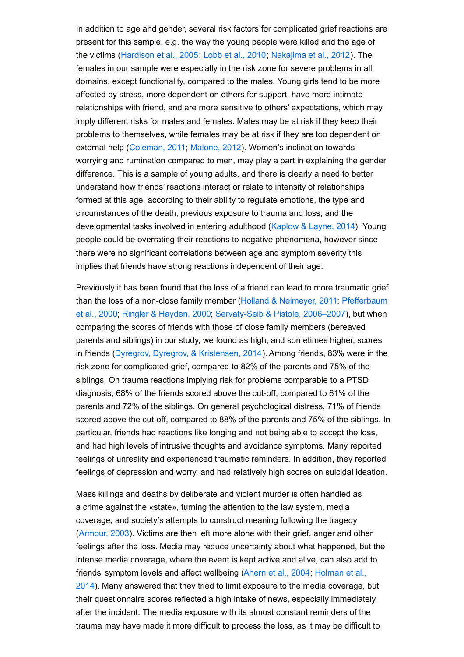In addition to age and gender, several risk factors for complicated grief reactions are present for this sample, e.g. the way the young people were killed and the age of the victims ([Hardison](#page-12-1) et al., 2005; Lobb et al., [2010](#page-13-0); [Nakajima](#page-14-0) et al., 2012). The females in our sample were especially in the risk zone for severe problems in all domains, except functionality, compared to the males. Young girls tend to be more affected by stress, more dependent on others for support, have more intimate relationships with friend, and are more sensitive to others' expectations, which may imply different risks for males and females. Males may be at risk if they keep their problems to themselves, while females may be at risk if they are too dependent on external help ([Coleman,](#page-11-0) 2011; [Malone,](#page-13-2) 2012). Women's inclination towards worrying and rumination compared to men, may play a part in explaining the gender difference. This is a sample of young adults, and there is clearly a need to better understand how friends' reactions interact or relate to intensity of relationships formed at this age, according to their ability to regulate emotions, the type and circumstances of the death, previous exposure to trauma and loss, and the developmental tasks involved in entering adulthood [\(Kaplow](#page-12-8) & Layne, 2014). Young people could be overrating their reactions to negative phenomena, however since there were no significant correlations between age and symptom severity this implies that friends have strong reactions independent of their age.

Previously it has been found that the loss of a friend can lead to more traumatic grief than the loss of a non-close family member (Holland & [Neimeyer,](#page-12-2) 2011; Pfefferbaum et al., 2000; Ringler & [Hayden,](#page-15-0) 2000; [Servaty-Seib](#page-14-4) & Pistole, 2006–2007), but when comparing the scores of friends with those of close family members (bereaved parents and siblings) in our study, we found as high, and sometimes higher, scores in friends (Dyregrov, Dyregrov, & [Kristensen,](#page-12-9) 2014). Among friends, 83% were in the risk zone for complicated grief, compared to 82% of the parents and 75% of the siblings. On trauma reactions implying risk for problems comparable to a PTSD diagnosis, 68% of the friends scored above the cut-off, compared to 61% of the parents and 72% of the siblings. On general psychological distress, 71% of friends scored above the cut-off, compared to 88% of the parents and 75% of the siblings. In particular, friends had reactions like longing and not being able to accept the loss, and had high levels of intrusive thoughts and avoidance symptoms. Many reported feelings of unreality and experienced traumatic reminders. In addition, they reported feelings of depression and worry, and had relatively high scores on suicidal ideation.

Mass killings and deaths by deliberate and violent murder is often handled as a crime against the «state», turning the attention to the law system, media coverage, and society's attempts to construct meaning following the tragedy ([Armour,](#page-11-8) 2003). Victims are then left more alone with their grief, anger and other feelings after the loss. Media may reduce uncertainty about what happened, but the intense media coverage, where the event is kept active and alive, can also add to friends' symptom levels and affect [wellbeing](#page-12-3) [\(Ahern](#page-11-1) et al., 2004; Holman et al., 2014). Many answered that they tried to limit exposure to the media coverage, but their questionnaire scores reflected a high intake of news, especially immediately after the incident. The media exposure with its almost constant reminders of the trauma may have made it more difficult to process the loss, as it may be difficult to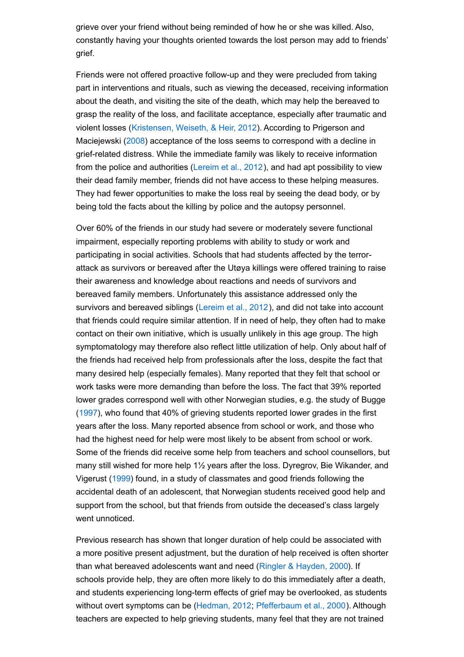grieve over your friend without being reminded of how he or she was killed. Also, constantly having your thoughts oriented towards the lost person may add to friends' grief.

Friends were not offered proactive follow-up and they were precluded from taking part in interventions and rituals, such as viewing the deceased, receiving information about the death, and visiting the site of the death, which may help the bereaved to grasp the reality of the loss, and facilitate acceptance, especially after traumatic and violent losses [\(Kristensen,](#page-13-9) Weiseth, & Heir, 2012). According to Prigerson and Maciejewski ([2008](#page-14-11)) acceptance of the loss seems to correspond with a decline in grief-related distress. While the immediate family was likely to receive information from the police and authorities [\(Lereim](#page-13-10) et al., 2012), and had apt possibility to view their dead family member, friends did not have access to these helping measures. They had fewer opportunities to make the loss real by seeing the dead body, or by being told the facts about the killing by police and the autopsy personnel.

Over 60% of the friends in our study had severe or moderately severe functional impairment, especially reporting problems with ability to study or work and participating in social activities. Schools that had students affected by the terrorattack as survivors or bereaved after the Utøya killings were offered training to raise their awareness and knowledge about reactions and needs of survivors and bereaved family members. Unfortunately this assistance addressed only the survivors and bereaved siblings ([Lereim](#page-13-10) et al., 2012), and did not take into account that friends could require similar attention. If in need of help, they often had to make contact on their own initiative, which is usually unlikely in this age group. The high symptomatology may therefore also reflect little utilization of help. Only about half of the friends had received help from professionals after the loss, despite the fact that many desired help (especially females). Many reported that they felt that school or work tasks were more demanding than before the loss. The fact that 39% reported lower grades correspond well with other Norwegian studies, e.g. the study of Bugge ([1997](#page-11-11)), who found that 40% of grieving students reported lower grades in the first years after the loss. Many reported absence from school or work, and those who had the highest need for help were most likely to be absent from school or work. Some of the friends did receive some help from teachers and school counsellors, but many still wished for more help 1½ years after the loss. Dyregrov, Bie Wikander, and Vigerust ([1999](#page-11-12)) found, in a study of classmates and good friends following the accidental death of an adolescent, that Norwegian students received good help and support from the school, but that friends from outside the deceased's class largely went unnoticed.

Previous research has shown that longer duration of help could be associated with a more positive present adjustment, but the duration of help received is often shorter than what bereaved adolescents want and need (Ringler & [Hayden,](#page-15-0) 2000). If schools provide help, they are often more likely to do this immediately after a death, and students experiencing long-term effects of grief may be overlooked, as students without overt symptoms can be [\(Hedman,](#page-12-10) 2012; [Pfefferbaum](#page-14-4) et al., 2000). Although teachers are expected to help grieving students, many feel that they are not trained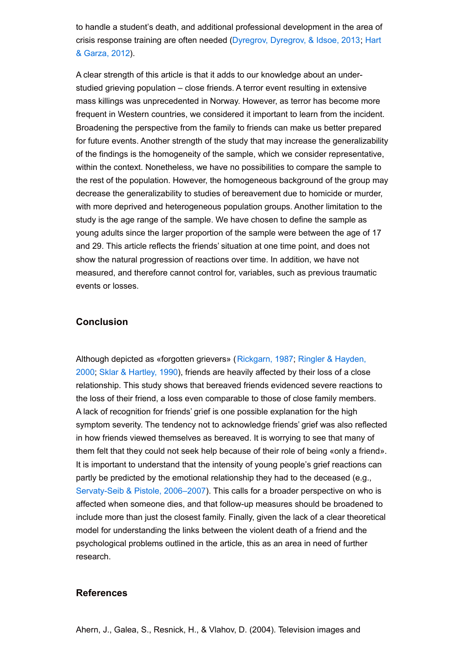<span id="page-11-5"></span>to handle a student's death, and additional professional development in the area of crisis response training are often needed [\(Dyregrov,](#page-12-11) Dyregrov, & Idsoe, 2013; Hart & Garza, 2012).

<span id="page-11-11"></span><span id="page-11-8"></span><span id="page-11-1"></span><span id="page-11-0"></span>A clear strength of this article is that it adds to our knowledge about an understudied grieving population – close friends. A terror event resulting in extensive mass killings was unprecedented in Norway. However, as terror has become more frequent in Western countries, we considered it important to learn from the incident. Broadening the perspective from the family to friends can make us better prepared for future events. Another strength of the study that may increase the generalizability of the findings is the homogeneity of the sample, which we consider representative, within the context. Nonetheless, we have no possibilities to compare the sample to the rest of the population. However, the homogeneous background of the group may decrease the generalizability to studies of bereavement due to homicide or murder, with more deprived and heterogeneous population groups. Another limitation to the study is the age range of the sample. We have chosen to define the sample as young adults since the larger proportion of the sample were between the age of 17 and 29. This article reflects the friends' situation at one time point, and does not show the natural progression of reactions over time. In addition, we have not measured, and therefore cannot control for, variables, such as previous traumatic events or losses.

## <span id="page-11-10"></span><span id="page-11-7"></span><span id="page-11-3"></span>**Conclusion**

<span id="page-11-12"></span><span id="page-11-6"></span><span id="page-11-2"></span>Although depicted as «forgotten grievers» [\(Rickgarn,](#page-15-0) 1987; Ringler & Hayden, 2000; Sklar & [Hartley,](#page-15-2) 1990), friends are heavily affected by their loss of a close relationship. This study shows that bereaved friends evidenced severe reactions to the loss of their friend, a loss even comparable to those of close family members. A lack of recognition for friends' grief is one possible explanation for the high symptom severity. The tendency not to acknowledge friends' grief was also reflected in how friends viewed themselves as bereaved. It is worrying to see that many of them felt that they could not seek help because of their role of being «only a friend». It is important to understand that the intensity of young people's grief reactions can partly be predicted by the emotional relationship they had to the deceased (e.g., [Servaty-Seib](#page-15-1) & Pistole, 2006–2007). This calls for a broader perspective on who is affected when someone dies, and that follow-up measures should be broadened to include more than just the closest family. Finally, given the lack of a clear theoretical model for understanding the links between the violent death of a friend and the psychological problems outlined in the article, this as an area in need of further research.

#### <span id="page-11-13"></span><span id="page-11-9"></span><span id="page-11-4"></span>**References**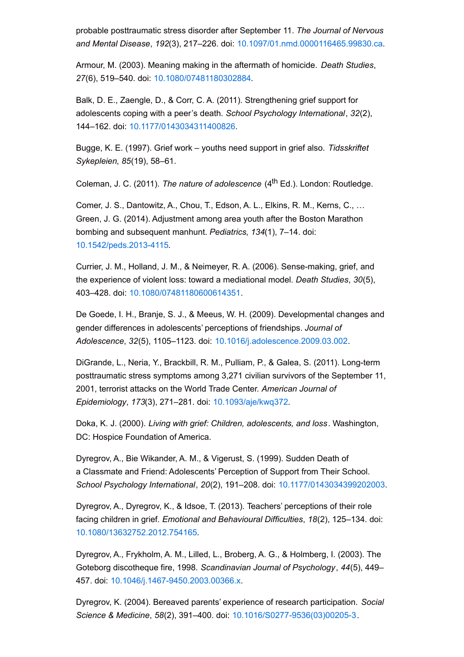<span id="page-12-5"></span>probable posttraumatic stress disorder after September 11. *The Journal of Nervous and Mental Disease*, *192*(3), 217–226. doi: [10.1097/01.nmd.0000116465.99830.ca](http://dx.doi.org/10.1097/01.nmd.0000116465.99830.ca).

Armour, M. (2003). Meaning making in the aftermath of homicide. *Death Studies*, *27*(6), 519–540. doi: [10.1080/07481180302884](http://dx.doi.org/10.1080/07481180302884).

<span id="page-12-9"></span>Balk, D. E., Zaengle, D., & Corr, C. A. (2011). Strengthening grief support for adolescents coping with a peer's death. *School Psychology International*, *32*(2), 144–162. doi: [10.1177/0143034311400826](http://dx.doi.org/10.1177/0143034311400826).

<span id="page-12-7"></span>Bugge, K. E. (1997). Grief work – youths need support in grief also. *Tidsskriftet Sykepleien*, *85*(19), 58–61.

Coleman, J. C. (2011). *The nature of adolescence* (4 th Ed.). London: Routledge.

<span id="page-12-1"></span>Comer, J. S., Dantowitz, A., Chou, T., Edson, A. L., Elkins, R. M., Kerns, C., … Green, J. G. (2014). Adjustment among area youth after the Boston Marathon bombing and subsequent manhunt. *Pediatrics*, *134*(1), 7–14. doi: [10.1542/peds.2013-4115.](http://dx.doi.org/10.1542/peds.2013-4115)

<span id="page-12-11"></span>Currier, J. M., Holland, J. M., & Neimeyer, R. A. (2006). Sense-making, grief, and the experience of violent loss: toward a mediational model. *Death Studies*, *30*(5), 403–428. doi: [10.1080/07481180600614351](http://dx.doi.org/10.1080/07481180600614351).

<span id="page-12-10"></span><span id="page-12-6"></span>De Goede, I. H., Branje, S. J., & Meeus, W. H. (2009). Developmental changes and gender differences in adolescents' perceptions of friendships. *Journal of Adolescence*, *32*(5), 1105–1123. doi: [10.1016/j.adolescence.2009.03.002](http://dx.doi.org/10.1016/j.adolescence.2009.03.002).

<span id="page-12-2"></span>DiGrande, L., Neria, Y., Brackbill, R. M., Pulliam, P., & Galea, S. (2011). Long-term posttraumatic stress symptoms among 3,271 civilian survivors of the September 11, 2001, terrorist attacks on the World Trade Center. *American Journal of Epidemiology*, *173*(3), 271–281. doi: [10.1093/aje/kwq372](http://dx.doi.org/10.1093/aje/kwq372).

<span id="page-12-4"></span>Doka, K. J. (2000). *Living with grief: Children, adolescents, and loss*. Washington, DC: Hospice Foundation of America.

Dyregrov, A., Bie Wikander, A. M., & Vigerust, S. (1999). Sudden Death of a Classmate and Friend: Adolescents' Perception of Support from Their School. *School Psychology International*, *20*(2), 191–208. doi: [10.1177/0143034399202003](http://dx.doi.org/10.1177/0143034399202003).

<span id="page-12-3"></span>Dyregrov, A., Dyregrov, K., & Idsoe, T. (2013). Teachers' perceptions of their role facing children in grief. *Emotional and Behavioural Difficulties*, *18*(2), 125–134. doi: [10.1080/13632752.2012.754165](http://dx.doi.org/10.1080/13632752.2012.754165).

<span id="page-12-0"></span>Dyregrov, A., Frykholm, A. M., Lilled, L., Broberg, A. G., & Holmberg, I. (2003). The Goteborg discotheque fire, 1998. *Scandinavian Journal of Psychology*, *44*(5), 449– 457. doi: [10.1046/j.1467-9450.2003.00366.x](http://dx.doi.org/10.1046/j.1467-9450.2003.00366.x).

<span id="page-12-8"></span>Dyregrov, K. (2004). Bereaved parents' experience of research participation. *Social Science & Medicine*, *58*(2), 391–400. doi: [10.1016/S0277-9536\(03\)00205-3](http://dx.doi.org/10.1016/S0277-9536(03)00205-3).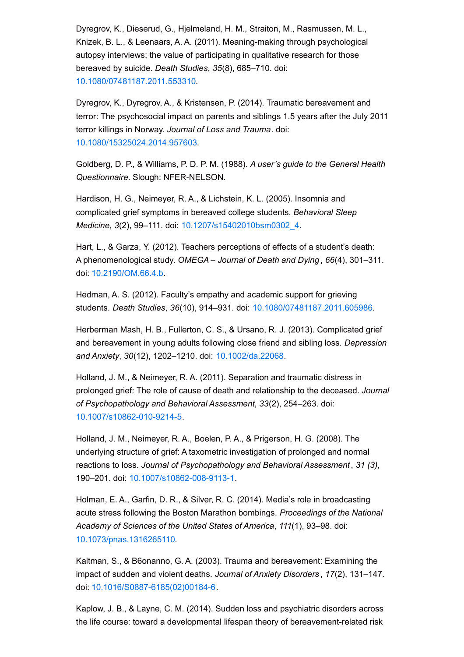<span id="page-13-5"></span>Dyregrov, K., Dieserud, G., Hjelmeland, H. M., Straiton, M., Rasmussen, M. L., Knizek, B. L., & Leenaars, A. A. (2011). Meaning-making through psychological autopsy interviews: the value of participating in qualitative research for those bereaved by suicide. *Death Studies*, *35*(8), 685–710. doi: [10.1080/07481187.2011.553310](http://dx.doi.org/10.1080/07481187.2011.553310).

<span id="page-13-6"></span>Dyregrov, K., Dyregrov, A., & Kristensen, P. (2014). Traumatic bereavement and terror: The psychosocial impact on parents and siblings 1.5 years after the July 2011 terror killings in Norway. *Journal of Loss and Trauma*. doi: [10.1080/15325024.2014.957603](http://dx.doi.org/10.1080/15325024.2014.957603).

<span id="page-13-9"></span>Goldberg, D. P., & Williams, P. D. P. M. (1988). *A user's guide to the General Health Questionnaire*. Slough: NFER-NELSON.

Hardison, H. G., Neimeyer, R. A., & Lichstein, K. L. (2005). Insomnia and complicated grief symptoms in bereaved college students. *Behavioral Sleep Medicine*, *3*(2), 99–111. doi: [10.1207/s15402010bsm0302\\_4](http://dx.doi.org/10.1207/s15402010bsm0302_4).

<span id="page-13-10"></span>Hart, L., & Garza, Y. (2012). Teachers perceptions of effects of a student's death: A phenomenological study. *OMEGA – Journal of Death and Dying* , *66*(4), 301–311. doi: [10.2190/OM.66.4.b](http://dx.doi.org/10.2190/OM.66.4.b).

<span id="page-13-0"></span>Hedman, A. S. (2012). Faculty's empathy and academic support for grieving students. *Death Studies*, *36*(10), 914–931. doi: [10.1080/07481187.2011.605986.](http://dx.doi.org/10.1080/07481187.2011.605986)

<span id="page-13-4"></span>Herberman Mash, H. B., Fullerton, C. S., & Ursano, R. J. (2013). Complicated grief and bereavement in young adults following close friend and sibling loss. *Depression and Anxiety*, *30*(12), 1202–1210. doi: [10.1002/da.22068](http://dx.doi.org/10.1002/da.22068).

<span id="page-13-8"></span><span id="page-13-2"></span>Holland, J. M., & Neimeyer, R. A. (2011). Separation and traumatic distress in prolonged grief: The role of cause of death and relationship to the deceased. *Journal of Psychopathology and Behavioral Assessment*, *33*(2), 254–263. doi: [10.1007/s10862-010-9214-5](http://dx.doi.org/10.1007/s10862-010-9214-5).

<span id="page-13-1"></span>Holland, J. M., Neimeyer, R. A., Boelen, P. A., & Prigerson, H. G. (2008). The underlying structure of grief: A taxometric investigation of prolonged and normal reactions to loss. *Journal of Psychopathology and Behavioral Assessment*, *31 (3),* 190–201. doi: [10.1007/s10862-008-9113-1](http://dx.doi.org/10.1007/s10862-008-9113-1).

<span id="page-13-3"></span>Holman, E. A., Garfin, D. R., & Silver, R. C. (2014). Media's role in broadcasting acute stress following the Boston Marathon bombings. *Proceedings of the National Academy of Sciences of the United States of America*, *111*(1), 93–98. doi: [10.1073/pnas.1316265110](http://dx.doi.org/10.1073/pnas.1316265110).

<span id="page-13-7"></span>Kaltman, S., & B6onanno, G. A. (2003). Trauma and bereavement: Examining the impact of sudden and violent deaths. *Journal of Anxiety Disorders* , *17*(2), 131–147. doi: [10.1016/S0887-6185\(02\)00184-6](http://dx.doi.org/10.1016/S0887-6185(02)00184-6).

Kaplow, J. B., & Layne, C. M. (2014). Sudden loss and psychiatric disorders across the life course: toward a developmental lifespan theory of bereavement-related risk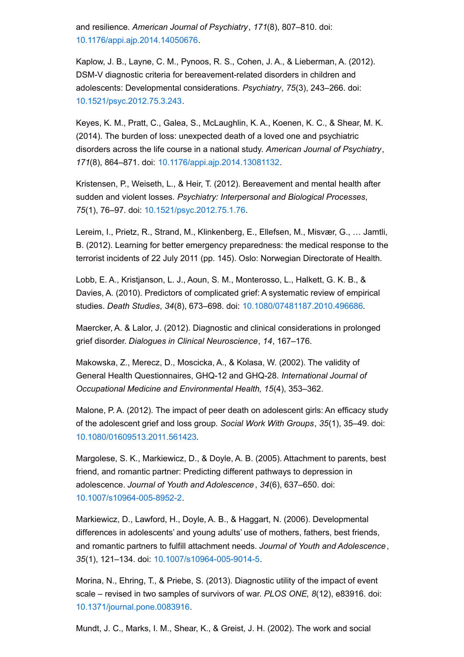<span id="page-14-10"></span>and resilience. *American Journal of Psychiatry*, *171*(8), 807–810. doi: [10.1176/appi.ajp.2014.14050676](http://dx.doi.org/10.1176/appi.ajp.2014.14050676).

<span id="page-14-0"></span>Kaplow, J. B., Layne, C. M., Pynoos, R. S., Cohen, J. A., & Lieberman, A. (2012). DSM-V diagnostic criteria for bereavement-related disorders in children and adolescents: Developmental considerations. *Psychiatry*, *75*(3), 243–266. doi: [10.1521/psyc.2012.75.3.243](http://dx.doi.org/10.1521/psyc.2012.75.3.243).

<span id="page-14-3"></span>Keyes, K. M., Pratt, C., Galea, S., McLaughlin, K. A., Koenen, K. C., & Shear, M. K. (2014). The burden of loss: unexpected death of a loved one and psychiatric disorders across the life course in a national study. *American Journal of Psychiatry*, *171*(8), 864–871. doi: [10.1176/appi.ajp.2014.13081132](http://dx.doi.org/10.1176/appi.ajp.2014.13081132).

<span id="page-14-6"></span>Kristensen, P., Weiseth, L., & Heir, T. (2012). Bereavement and mental health after sudden and violent losses. *Psychiatry: Interpersonal and Biological Processes*, *75*(1), 76–97. doi: [10.1521/psyc.2012.75.1.76](http://dx.doi.org/10.1521/psyc.2012.75.1.76).

<span id="page-14-8"></span>Lereim, I., Prietz, R., Strand, M., Klinkenberg, E., Ellefsen, M., Misvær, G., … Jamtli, B. (2012). Learning for better emergency preparedness: the medical response to the terrorist incidents of 22 July 2011 (pp. 145). Oslo: Norwegian Directorate of Health.

<span id="page-14-7"></span><span id="page-14-1"></span>Lobb, E. A., Kristjanson, L. J., Aoun, S. M., Monterosso, L., Halkett, G. K. B., & Davies, A. (2010). Predictors of complicated grief: A systematic review of empirical studies. *Death Studies*, *34*(8), 673–698. doi: [10.1080/07481187.2010.496686](http://dx.doi.org/10.1080/07481187.2010.496686).

Maercker, A. & Lalor, J. (2012). Diagnostic and clinical considerations in prolonged grief disorder. *Dialogues in Clinical Neuroscience*, *14*, 167–176.

<span id="page-14-4"></span>Makowska, Z., Merecz, D., Moscicka, A., & Kolasa, W. (2002). The validity of General Health Questionnaires, GHQ-12 and GHQ-28. *International Journal of Occupational Medicine and Environmental Health*, *15*(4), 353–362.

<span id="page-14-11"></span>Malone, P. A. (2012). The impact of peer death on adolescent girls: An efficacy study of the adolescent grief and loss group. *Social Work With Groups*, *35*(1), 35–49. doi: [10.1080/01609513.2011.561423](http://dx.doi.org/10.1080/01609513.2011.561423).

<span id="page-14-9"></span>Margolese, S. K., Markiewicz, D., & Doyle, A. B. (2005). Attachment to parents, best friend, and romantic partner: Predicting different pathways to depression in adolescence. *Journal of Youth and Adolescence* , *34*(6), 637–650. doi: [10.1007/s10964-005-8952-2](http://dx.doi.org/10.1007/s10964-005-8952-2).

<span id="page-14-2"></span>Markiewicz, D., Lawford, H., Doyle, A. B., & Haggart, N. (2006). Developmental differences in adolescents' and young adults' use of mothers, fathers, best friends, and romantic partners to fulfill attachment needs. *Journal of Youth and Adolescence* , *35*(1), 121–134. doi: [10.1007/s10964-005-9014-5](http://dx.doi.org/10.1007/s10964-005-9014-5).

Morina, N., Ehring, T., & Priebe, S. (2013). Diagnostic utility of the impact of event scale – revised in two samples of survivors of war. *PLOS ONE*, *8*(12), e83916. doi: [10.1371/journal.pone.0083916](http://dx.doi.org/10.1371/journal.pone.0083916).

<span id="page-14-5"></span>Mundt, J. C., Marks, I. M., Shear, K., & Greist, J. H. (2002). The work and social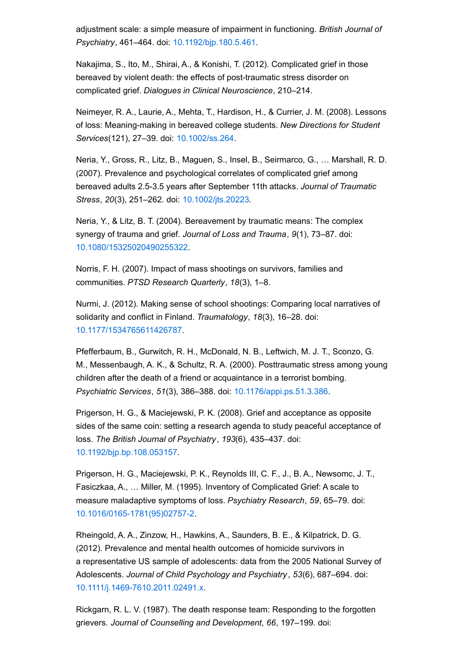<span id="page-15-0"></span>adjustment scale: a simple measure of impairment in functioning. *British Journal of Psychiatry*, 461–464. doi: [10.1192/bjp.180.5.461](http://dx.doi.org/10.1192/bjp.180.5.461).

Nakajima, S., Ito, M., Shirai, A., & Konishi, T. (2012). Complicated grief in those bereaved by violent death: the effects of post-traumatic stress disorder on complicated grief. *Dialogues in Clinical Neuroscience*, 210–214.

<span id="page-15-6"></span><span id="page-15-5"></span>Neimeyer, R. A., Laurie, A., Mehta, T., Hardison, H., & Currier, J. M. (2008). Lessons of loss: Meaning-making in bereaved college students. *New Directions for Student Services*(121), 27–39. doi: [10.1002/ss.264](http://dx.doi.org/10.1002/ss.264).

<span id="page-15-1"></span>Neria, Y., Gross, R., Litz, B., Maguen, S., Insel, B., Seirmarco, G., … Marshall, R. D. (2007). Prevalence and psychological correlates of complicated grief among bereaved adults 2.5-3.5 years after September 11th attacks. *Journal of Traumatic Stress*, *20*(3), 251–262. doi: [10.1002/jts.20223](http://dx.doi.org/10.1002/jts.20223).

<span id="page-15-2"></span>Neria, Y., & Litz, B. T. (2004). Bereavement by traumatic means: The complex synergy of trauma and grief. *Journal of Loss and Trauma*, *9*(1), 73–87. doi: [10.1080/15325020490255322](http://dx.doi.org/10.1080/15325020490255322).

<span id="page-15-4"></span>Norris, F. H. (2007). Impact of mass shootings on survivors, families and communities. *PTSD Research Quarterly*, *18*(3), 1–8.

<span id="page-15-3"></span>Nurmi, J. (2012). Making sense of school shootings: Comparing local narratives of solidarity and conflict in Finland. *Traumatology*, *18*(3), 16–28. doi: [10.1177/1534765611426787](http://dx.doi.org/10.1177/1534765611426787).

Pfefferbaum, B., Gurwitch, R. H., McDonald, N. B., Leftwich, M. J. T., Sconzo, G. M., Messenbaugh, A. K., & Schultz, R. A. (2000). Posttraumatic stress among young children after the death of a friend or acquaintance in a terrorist bombing. *Psychiatric Services*, *51*(3), 386–388. doi: [10.1176/appi.ps.51.3.386](http://dx.doi.org/10.1176/appi.ps.51.3.386).

Prigerson, H. G., & Maciejewski, P. K. (2008). Grief and acceptance as opposite sides of the same coin: setting a research agenda to study peaceful acceptance of loss. *The British Journal of Psychiatry*, *193*(6), 435–437. doi: [10.1192/bjp.bp.108.053157](http://dx.doi.org/10.1192/bjp.bp.108.053157).

Prigerson, H. G., Maciejewski, P. K., Reynolds III, C. F., J., B. A., Newsomc, J. T., Fasiczkaa, A., … Miller, M. (1995). Inventory of Complicated Grief: A scale to measure maladaptive symptoms of loss. *Psychiatry Research*, *59*, 65–79. doi: [10.1016/0165-1781\(95\)02757-2](http://dx.doi.org/10.1016/0165-1781(95)02757-2).

Rheingold, A. A., Zinzow, H., Hawkins, A., Saunders, B. E., & Kilpatrick, D. G. (2012). Prevalence and mental health outcomes of homicide survivors in a representative US sample of adolescents: data from the 2005 National Survey of Adolescents. *Journal of Child Psychology and Psychiatry* , *53*(6), 687–694. doi: [10.1111/j.1469-7610.2011.02491.x](http://dx.doi.org/10.1111/j.1469-7610.2011.02491.x).

Rickgarn, R. L. V. (1987). The death response team: Responding to the forgotten grievers. *Journal of Counselling and Development*, *66*, 197–199. doi: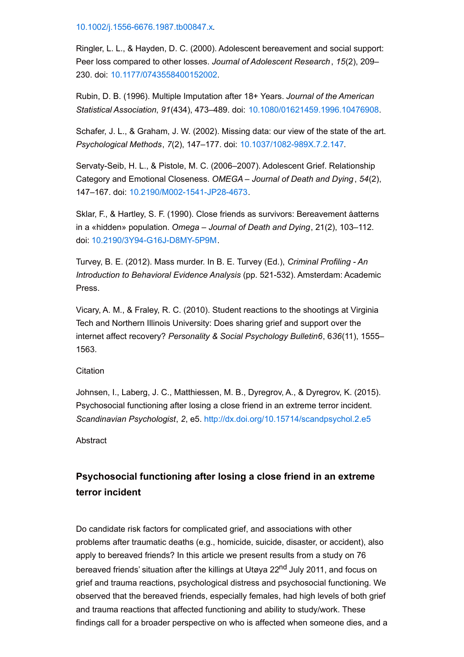[10.1002/j.1556-6676.1987.tb00847.x](http://dx.doi.org/10.1002/j.1556-6676.1987.tb00847.x).

Ringler, L. L., & Hayden, D. C. (2000). Adolescent bereavement and social support: Peer loss compared to other losses. *Journal of Adolescent Research*, *15*(2), 209– 230. doi: [10.1177/0743558400152002](http://dx.doi.org/10.1177/0743558400152002).

Rubin, D. B. (1996). Multiple Imputation after 18+ Years. *Journal of the American Statistical Association*, *91*(434), 473–489. doi: [10.1080/01621459.1996.10476908](http://dx.doi.org/10.1080/01621459.1996.10476908).

Schafer, J. L., & Graham, J. W. (2002). Missing data: our view of the state of the art. *Psychological Methods*, *7*(2), 147–177. doi: [10.1037/1082-989X.7.2.147](http://dx.doi.org/10.1037/1082-989X.7.2.147).

Servaty-Seib, H. L., & Pistole, M. C. (2006–2007). Adolescent Grief. Relationship Category and Emotional Closeness. *OMEGA – Journal of Death and Dying* , *54*(2), 147–167. doi: [10.2190/M002-1541-JP28-4673](http://dx.doi.org/10.2190/M002-1541-JP28-4673).

Sklar, F., & Hartley, S. F. (1990). Close friends as survivors: Bereavement åatterns in a «hidden» population. *Omega – Journal of Death and Dying*, 21(2), 103–112. doi: [10.2190/3Y94-G16J-D8MY-5P9M](http://dx.doi.org/10.2190/3Y94-G16J-D8MY-5P9M).

Turvey, B. E. (2012). Mass murder. In B. E. Turvey (Ed.), *Criminal Profiling - An Introduction to Behavioral Evidence Analysis* (pp. 521-532). Amsterdam: Academic Press.

Vicary, A. M., & Fraley, R. C. (2010). Student reactions to the shootings at Virginia Tech and Northern Illinois University: Does sharing grief and support over the internet affect recovery? *Personality & Social Psychology Bulletin6*, 6*36*(11), 1555– 1563.

**Citation** 

Johnsen, I., Laberg, J. C., Matthiessen, M. B., Dyregrov, A., & Dyregrov, K. (2015). Psychosocial functioning after losing a close friend in an extreme terror incident. *Scandinavian Psychologist*, *2*, e5. <http://dx.doi.org/10.15714/scandpsychol.2.e5>

**Abstract** 

## **Psychosocial functioning after losing a close friend in an extreme terror incident**

Do candidate risk factors for complicated grief, and associations with other problems after traumatic deaths (e.g., homicide, suicide, disaster, or accident), also apply to bereaved friends? In this article we present results from a study on 76 bereaved friends' situation after the killings at Utøya 22<sup>nd</sup> July 2011, and focus on grief and trauma reactions, psychological distress and psychosocial functioning. We observed that the bereaved friends, especially females, had high levels of both grief and trauma reactions that affected functioning and ability to study/work. These findings call for a broader perspective on who is affected when someone dies, and a